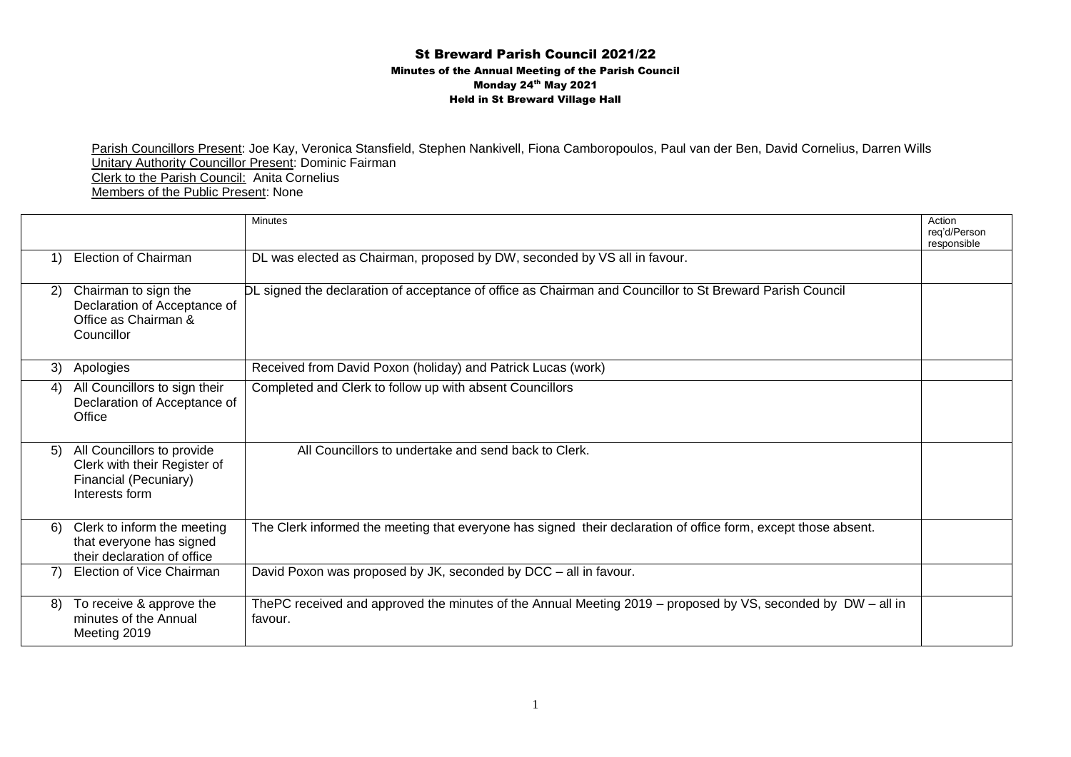## St Breward Parish Council 2021/22 Minutes of the Annual Meeting of the Parish Council Monday 24<sup>th</sup> May 2021 Held in St Breward Village Hall

Parish Councillors Present: Joe Kay, Veronica Stansfield, Stephen Nankivell, Fiona Camboropoulos, Paul van der Ben, David Cornelius, Darren Wills Unitary Authority Councillor Present: Dominic Fairman Clerk to the Parish Council: Anita Cornelius Members of the Public Present: None

|    |                                                                                                       | <b>Minutes</b>                                                                                                          | Action<br>rea'd/Person<br>responsible |
|----|-------------------------------------------------------------------------------------------------------|-------------------------------------------------------------------------------------------------------------------------|---------------------------------------|
| 1) | Election of Chairman                                                                                  | DL was elected as Chairman, proposed by DW, seconded by VS all in favour.                                               |                                       |
| 2) | Chairman to sign the<br>Declaration of Acceptance of<br>Office as Chairman &<br>Councillor            | DL signed the declaration of acceptance of office as Chairman and Councillor to St Breward Parish Council               |                                       |
| 3) | Apologies                                                                                             | Received from David Poxon (holiday) and Patrick Lucas (work)                                                            |                                       |
| 4) | All Councillors to sign their<br>Declaration of Acceptance of<br>Office                               | Completed and Clerk to follow up with absent Councillors                                                                |                                       |
| 5) | All Councillors to provide<br>Clerk with their Register of<br>Financial (Pecuniary)<br>Interests form | All Councillors to undertake and send back to Clerk.                                                                    |                                       |
| 6) | Clerk to inform the meeting<br>that everyone has signed<br>their declaration of office                | The Clerk informed the meeting that everyone has signed their declaration of office form, except those absent.          |                                       |
| 7) | Election of Vice Chairman                                                                             | David Poxon was proposed by JK, seconded by DCC - all in favour.                                                        |                                       |
| 8) | To receive & approve the<br>minutes of the Annual<br>Meeting 2019                                     | ThePC received and approved the minutes of the Annual Meeting 2019 – proposed by VS, seconded by DW – all in<br>favour. |                                       |